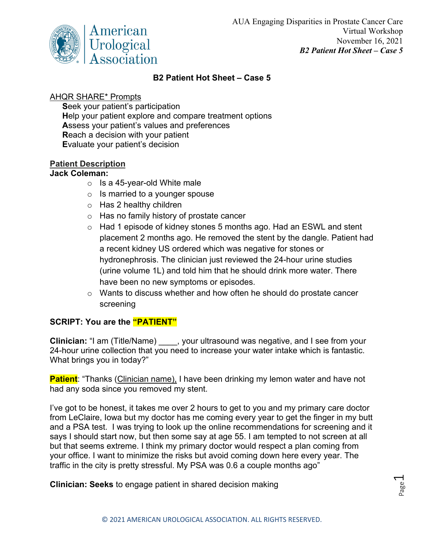

## **B2 Patient Hot Sheet – Case 5**

## AHQR SHARE\* Prompts

**S**eek your patient's participation **H**elp your patient explore and compare treatment options **A**ssess your patient's values and preferences **R**each a decision with your patient **E**valuate your patient's decision

## **Patient Description**

### **Jack Coleman:**

- $\circ$  Is a 45-year-old White male
- $\circ$  Is married to a younger spouse
- o Has 2 healthy children
- o Has no family history of prostate cancer
- o Had 1 episode of kidney stones 5 months ago. Had an ESWL and stent placement 2 months ago. He removed the stent by the dangle. Patient had a recent kidney US ordered which was negative for stones or hydronephrosis. The clinician just reviewed the 24-hour urine studies (urine volume 1L) and told him that he should drink more water. There have been no new symptoms or episodes.
- o Wants to discuss whether and how often he should do prostate cancer screening

# **SCRIPT: You are the "PATIENT"**

**Clinician:** "I am (Title/Name) . your ultrasound was negative, and I see from your 24-hour urine collection that you need to increase your water intake which is fantastic. What brings you in today?"

**Patient**: "Thanks (Clinician name), I have been drinking my lemon water and have not had any soda since you removed my stent.

I've got to be honest, it takes me over 2 hours to get to you and my primary care doctor from LeClaire, Iowa but my doctor has me coming every year to get the finger in my butt and a PSA test. I was trying to look up the online recommendations for screening and it says I should start now, but then some say at age 55. I am tempted to not screen at all but that seems extreme. I think my primary doctor would respect a plan coming from your office. I want to minimize the risks but avoid coming down here every year. The traffic in the city is pretty stressful. My PSA was 0.6 a couple months ago"

**Clinician: Seeks** to engage patient in shared decision making